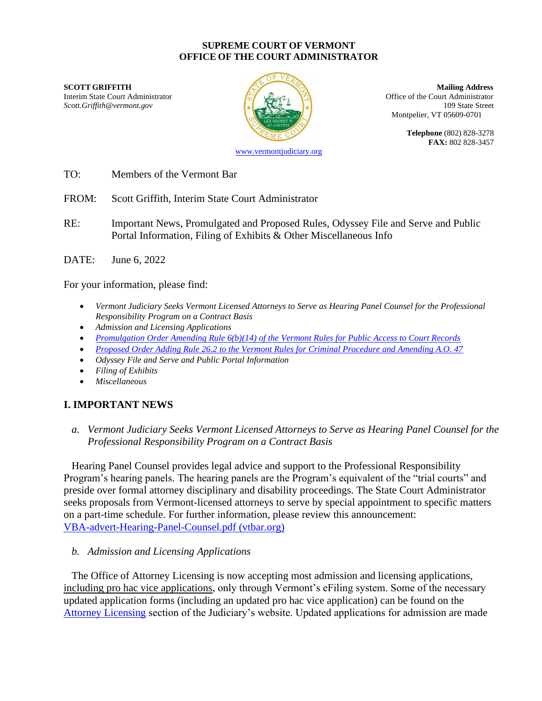#### **SUPREME COURT OF VERMONT OFFICE OF THE COURT ADMINISTRATOR**

**SCOTT GRIFFITH Mailing Address** Interim State Court Administrator **Interior Court Administrator** Office of the Court Administrator *Scott.Griffith@vermont.gov* 109 State Street



Montpelier, VT 05609-0701

**Telephone** (802) 828-3278 **FAX:** 802 828-3457

[www.vermontjudiciary.org](http://www.vermontjudiciary.org/)

TO: Members of the Vermont Bar

FROM: Scott Griffith, Interim State Court Administrator

- RE: Important News, Promulgated and Proposed Rules, Odyssey File and Serve and Public Portal Information, Filing of Exhibits & Other Miscellaneous Info
- DATE: June 6, 2022

For your information, please find:

- *Vermont Judiciary Seeks Vermont Licensed Attorneys to Serve as Hearing Panel Counsel for the Professional Responsibility Program on a Contract Basis*
- *Admission and Licensing Applications*
- *[Promulgation Order Amending Rule 6\(b\)\(14\) of the Vermont Rules for Public Access to Court Records](https://www.vermontjudiciary.org/sites/default/files/documents/PROMULGATEDVRPACR%206%28b%29%2814%29--STAMPED.pdf)*
- *[Proposed Order Adding Rule 26.2 to the Vermont Rules for Criminal Procedure and Amending A.O. 47](https://www.vermontjudiciary.org/sites/default/files/documents/PROPOSEDVRCrP%2026.2%20and%20AO47--FOR%20COMMENT_0.pdf)*
- *Odyssey File and Serve and Public Portal Information*
- *Filing of Exhibits*
- *Miscellaneous*

# **I. IMPORTANT NEWS**

*a. Vermont Judiciary Seeks Vermont Licensed Attorneys to Serve as Hearing Panel Counsel for the Professional Responsibility Program on a Contract Basis*

Hearing Panel Counsel provides legal advice and support to the Professional Responsibility Program's hearing panels. The hearing panels are the Program's equivalent of the "trial courts" and preside over formal attorney disciplinary and disability proceedings. The State Court Administrator seeks proposals from Vermont-licensed attorneys to serve by special appointment to specific matters on a part-time schedule. For further information, please review this announcement: [VBA-advert-Hearing-Panel-Counsel.pdf \(vtbar.org\)](https://www.vtbar.org/wp-content/uploads/2022/05/VBA-advert-Hearing-Panel-Counsel.pdf)

#### *b. Admission and Licensing Applications*

The Office of Attorney Licensing is now accepting most admission and licensing applications, including pro hac vice applications, only through Vermont's eFiling system. Some of the necessary updated application forms (including an updated pro hac vice application) can be found on the [Attorney Licensing](https://www.vermontjudiciary.org/attorneys/attorney-licensing) section of the Judiciary's website. Updated applications for admission are made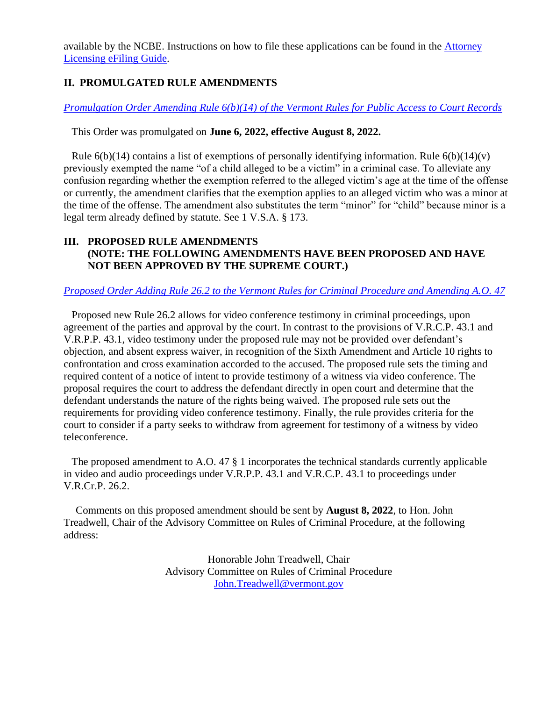available by the NCBE. Instructions on how to file these applications can be found in the [Attorney](https://www.vermontjudiciary.org/sites/default/files/documents/AL%20OFS%20FILER%20GUIDE.pdf)  [Licensing eFiling Guide.](https://www.vermontjudiciary.org/sites/default/files/documents/AL%20OFS%20FILER%20GUIDE.pdf)

## **II. PROMULGATED RULE AMENDMENTS**

### *[Promulgation Order Amending Rule 6\(b\)\(14\) of the Vermont Rules for Public Access to Court Records](https://www.vermontjudiciary.org/sites/default/files/documents/PROMULGATEDVRPACR%206%28b%29%2814%29--STAMPED.pdf)*

#### This Order was promulgated on **June 6, 2022, effective August 8, 2022.**

Rule  $6(b)(14)$  contains a list of exemptions of personally identifying information. Rule  $6(b)(14)(v)$ previously exempted the name "of a child alleged to be a victim" in a criminal case. To alleviate any confusion regarding whether the exemption referred to the alleged victim's age at the time of the offense or currently, the amendment clarifies that the exemption applies to an alleged victim who was a minor at the time of the offense. The amendment also substitutes the term "minor" for "child" because minor is a legal term already defined by statute. See 1 V.S.A. § 173.

## **III. PROPOSED RULE AMENDMENTS (NOTE: THE FOLLOWING AMENDMENTS HAVE BEEN PROPOSED AND HAVE NOT BEEN APPROVED BY THE SUPREME COURT.)**

### *[Proposed Order Adding Rule 26.2 to the Vermont Rules for Criminal Procedure and Amending A.O. 47](https://www.vermontjudiciary.org/sites/default/files/documents/PROPOSEDVRCrP%2026.2%20and%20AO47--FOR%20COMMENT_0.pdf)*

Proposed new Rule 26.2 allows for video conference testimony in criminal proceedings, upon agreement of the parties and approval by the court. In contrast to the provisions of V.R.C.P. 43.1 and V.R.P.P. 43.1, video testimony under the proposed rule may not be provided over defendant's objection, and absent express waiver, in recognition of the Sixth Amendment and Article 10 rights to confrontation and cross examination accorded to the accused. The proposed rule sets the timing and required content of a notice of intent to provide testimony of a witness via video conference. The proposal requires the court to address the defendant directly in open court and determine that the defendant understands the nature of the rights being waived. The proposed rule sets out the requirements for providing video conference testimony. Finally, the rule provides criteria for the court to consider if a party seeks to withdraw from agreement for testimony of a witness by video teleconference.

The proposed amendment to A.O. 47 § 1 incorporates the technical standards currently applicable in video and audio proceedings under V.R.P.P. 43.1 and V.R.C.P. 43.1 to proceedings under V.R.Cr.P. 26.2.

Comments on this proposed amendment should be sent by **August 8, 2022**, to Hon. John Treadwell, Chair of the Advisory Committee on Rules of Criminal Procedure, at the following address:

> Honorable John Treadwell, Chair Advisory Committee on Rules of Criminal Procedure [John.Treadwell@vermont.gov](mailto:John.Treadwell@vermont.gov)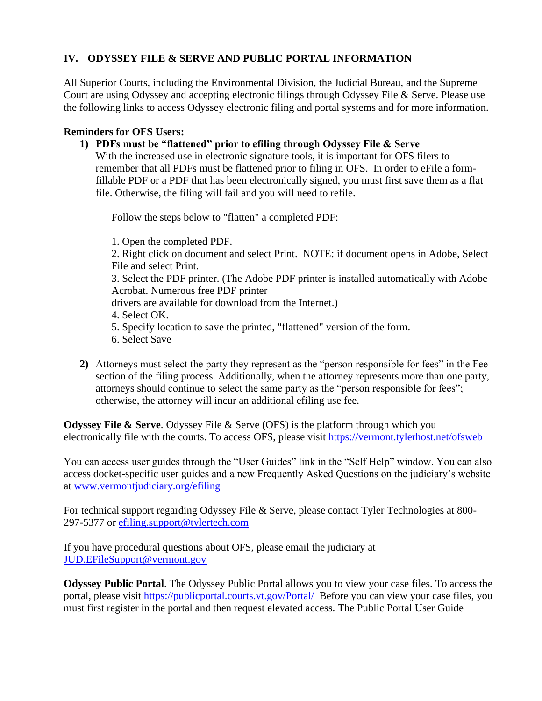# **IV. ODYSSEY FILE & SERVE AND PUBLIC PORTAL INFORMATION**

All Superior Courts, including the Environmental Division, the Judicial Bureau, and the Supreme Court are using Odyssey and accepting electronic filings through Odyssey File & Serve. Please use the following links to access Odyssey electronic filing and portal systems and for more information.

#### **Reminders for OFS Users:**

**1) PDFs must be "flattened" prior to efiling through Odyssey File & Serve**

With the increased use in electronic signature tools, it is important for OFS filers to remember that all PDFs must be flattened prior to filing in OFS. In order to eFile a formfillable PDF or a PDF that has been electronically signed, you must first save them as a flat file. Otherwise, the filing will fail and you will need to refile.

Follow the steps below to "flatten" a completed PDF:

1. Open the completed PDF.

2. Right click on document and select Print. NOTE: if document opens in Adobe, Select File and select Print.

3. Select the PDF printer. (The Adobe PDF printer is installed automatically with Adobe Acrobat. Numerous free PDF printer

drivers are available for download from the Internet.)

4. Select OK.

5. Specify location to save the printed, "flattened" version of the form.

6. Select Save

**2)** Attorneys must select the party they represent as the "person responsible for fees" in the Fee section of the filing process. Additionally, when the attorney represents more than one party, attorneys should continue to select the same party as the "person responsible for fees"; otherwise, the attorney will incur an additional efiling use fee.

**Odyssey File & Serve**. Odyssey File & Serve (OFS) is the platform through which you electronically file with the courts. To access OFS, please visit<https://vermont.tylerhost.net/ofsweb>

You can access user guides through the "User Guides" link in the "Self Help" window. You can also access docket-specific user guides and a new Frequently Asked Questions on the judiciary's website at [www.vermontjudiciary.org/efiling](https://www.vermontjudiciary.org/about-vermont-judiciary/electronic-access/electronic-filing)

For technical support regarding Odyssey File & Serve, please contact Tyler Technologies at 800- 297-5377 or [efiling.support@tylertech.com](mailto:efiling.support@tylertech.com)

If you have procedural questions about OFS, please email the judiciary at [JUD.EFileSupport@vermont.gov](mailto:JUD.EFileSupport@vermont.gov)

**Odyssey Public Portal**. The Odyssey Public Portal allows you to view your case files. To access the portal, please visit<https://publicportal.courts.vt.gov/Portal/> Before you can view your case files, you must first register in the portal and then request elevated access. The Public Portal User Guide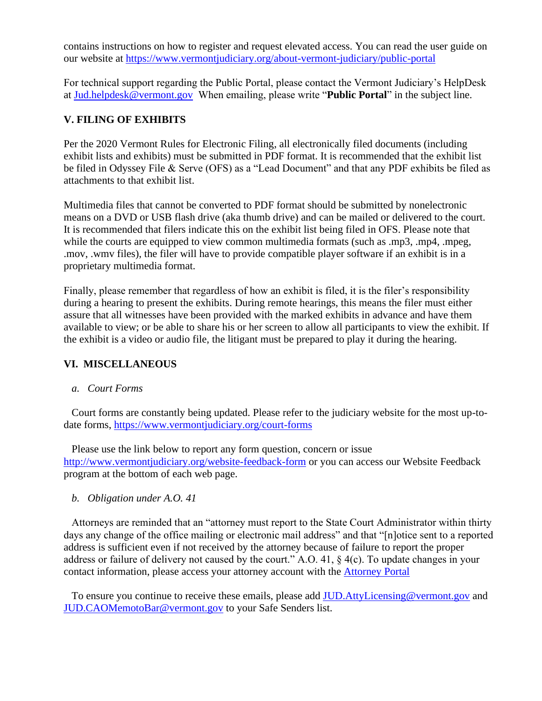contains instructions on how to register and request elevated access. You can read the user guide on our website at<https://www.vermontjudiciary.org/about-vermont-judiciary/public-portal>

For technical support regarding the Public Portal, please contact the Vermont Judiciary's HelpDesk at [Jud.helpdesk@vermont.gov](mailto:Jud.helpdesk@vermont.gov) When emailing, please write "**Public Portal**" in the subject line.

# **V. FILING OF EXHIBITS**

Per the 2020 Vermont Rules for Electronic Filing, all electronically filed documents (including exhibit lists and exhibits) must be submitted in PDF format. It is recommended that the exhibit list be filed in Odyssey File & Serve (OFS) as a "Lead Document" and that any PDF exhibits be filed as attachments to that exhibit list.

Multimedia files that cannot be converted to PDF format should be submitted by nonelectronic means on a DVD or USB flash drive (aka thumb drive) and can be mailed or delivered to the court. It is recommended that filers indicate this on the exhibit list being filed in OFS. Please note that while the courts are equipped to view common multimedia formats (such as .mp3, .mp4, .mpeg, .mov, .wmv files), the filer will have to provide compatible player software if an exhibit is in a proprietary multimedia format.

Finally, please remember that regardless of how an exhibit is filed, it is the filer's responsibility during a hearing to present the exhibits. During remote hearings, this means the filer must either assure that all witnesses have been provided with the marked exhibits in advance and have them available to view; or be able to share his or her screen to allow all participants to view the exhibit. If the exhibit is a video or audio file, the litigant must be prepared to play it during the hearing.

### **VI. MISCELLANEOUS**

*a. Court Forms*

Court forms are constantly being updated. Please refer to the judiciary website for the most up-todate forms,<https://www.vermontjudiciary.org/court-forms>

Please use the link below to report any form question, concern or issue <http://www.vermontjudiciary.org/website-feedback-form> or you can access our Website Feedback program at the bottom of each web page.

*b. Obligation under A.O. 41*

Attorneys are reminded that an "attorney must report to the State Court Administrator within thirty days any change of the office mailing or electronic mail address" and that "[n]otice sent to a reported address is sufficient even if not received by the attorney because of failure to report the proper address or failure of delivery not caused by the court." A.O. 41, § 4(c). To update changes in your contact information, please access your attorney account with the [Attorney Portal](https://vermont.tylerhost.net/TylerFamis/ui/dashboard)

To ensure you continue to receive these emails, please add JUD. AttyLicensing@vermont.gov and [JUD.CAOMemotoBar@vermont.gov](mailto:JUD.CAOMemotoBar@vermont.gov) to your Safe Senders list.